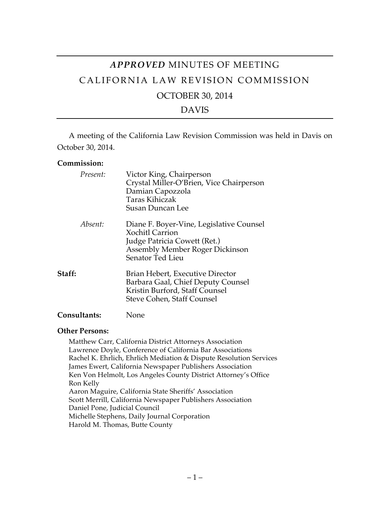# *APPROVED* MINUTES OF MEETING CALIFORNIA LAW REVISION COMMISSION OCTOBER 30, 2014

## DAVIS

A meeting of the California Law Revision Commission was held in Davis on October 30, 2014.

#### **Commission:**

| Present:            | Victor King, Chairperson<br>Crystal Miller-O'Brien, Vice Chairperson<br>Damian Capozzola<br>Taras Kihiczak<br><b>Susan Duncan Lee</b>                            |  |
|---------------------|------------------------------------------------------------------------------------------------------------------------------------------------------------------|--|
| Absent:             | Diane F. Boyer-Vine, Legislative Counsel<br><b>Xochitl Carrion</b><br>Judge Patricia Cowett (Ret.)<br><b>Assembly Member Roger Dickinson</b><br>Senator Ted Lieu |  |
| Staff:              | Brian Hebert, Executive Director<br>Barbara Gaal, Chief Deputy Counsel<br>Kristin Burford, Staff Counsel<br>Steve Cohen, Staff Counsel                           |  |
| <b>Consultants:</b> | None                                                                                                                                                             |  |

### **Other Persons:**

Matthew Carr, California District Attorneys Association Lawrence Doyle, Conference of California Bar Associations Rachel K. Ehrlich, Ehrlich Mediation & Dispute Resolution Services James Ewert, California Newspaper Publishers Association Ken Von Helmolt, Los Angeles County District Attorney's Office Ron Kelly Aaron Maguire, California State Sheriffs' Association Scott Merrill, California Newspaper Publishers Association Daniel Pone, Judicial Council Michelle Stephens, Daily Journal Corporation Harold M. Thomas, Butte County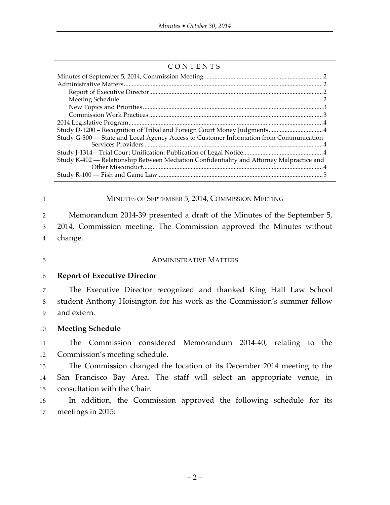| CONTENTS |  |
|----------|--|
|          |  |
|          |  |
|          |  |
|          |  |
|          |  |

## 1 MINUTES OF SEPTEMBER 5, 2014, COMMISSION MEETING

2 Memorandum 2014-39 presented a draft of the Minutes of the September 5, 3 2014, Commission meeting. The Commission approved the Minutes without 4 change.

5 ADMINISTRATIVE MATTERS

## 6 **Report of Executive Director**

7 The Executive Director recognized and thanked King Hall Law School 8 student Anthony Hoisington for his work as the Commission's summer fellow 9 and extern.

## 10 **Meeting Schedule**

11 The Commission considered Memorandum 2014-40, relating to the 12 Commission's meeting schedule.

13 The Commission changed the location of its December 2014 meeting to the 14 San Francisco Bay Area. The staff will select an appropriate venue, in 15 consultation with the Chair.

16 In addition, the Commission approved the following schedule for its 17 meetings in 2015: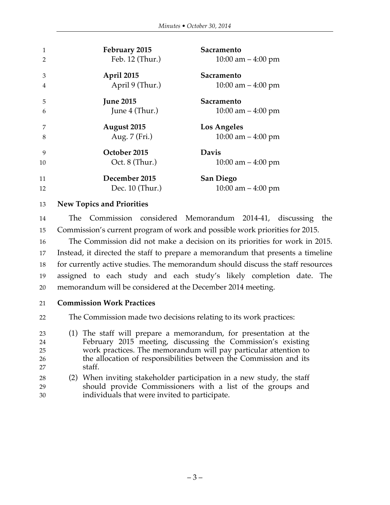| 1              | February 2015    | Sacramento           |
|----------------|------------------|----------------------|
| $\mathfrak{D}$ | Feb. 12 (Thur.)  | 10:00 am $-$ 4:00 pm |
| 3              | April 2015       | Sacramento           |
| 4              | April 9 (Thur.)  | 10:00 am $-$ 4:00 pm |
| 5              | <b>June 2015</b> | Sacramento           |
| 6              | June 4 (Thur.)   | 10:00 am $-$ 4:00 pm |
| 7              | August 2015      | <b>Los Angeles</b>   |
| 8              | Aug. 7 (Fri.)    | 10:00 am $-$ 4:00 pm |
| 9              | October 2015     | <b>Davis</b>         |
| 10             | Oct. 8 (Thur.)   | 10:00 am $-$ 4:00 pm |
| 11             | December 2015    | <b>San Diego</b>     |
| 12             | Dec. 10 (Thur.)  | 10:00 am $-$ 4:00 pm |

#### **New Topics and Priorities**

 The Commission considered Memorandum 2014-41, discussing the Commission's current program of work and possible work priorities for 2015.

 The Commission did not make a decision on its priorities for work in 2015. Instead, it directed the staff to prepare a memorandum that presents a timeline for currently active studies. The memorandum should discuss the staff resources assigned to each study and each study's likely completion date. The memorandum will be considered at the December 2014 meeting.

**Commission Work Practices**

The Commission made two decisions relating to its work practices:

- (1) The staff will prepare a memorandum, for presentation at the February 2015 meeting, discussing the Commission's existing work practices. The memorandum will pay particular attention to the allocation of responsibilities between the Commission and its staff.
- (2) When inviting stakeholder participation in a new study, the staff should provide Commissioners with a list of the groups and individuals that were invited to participate.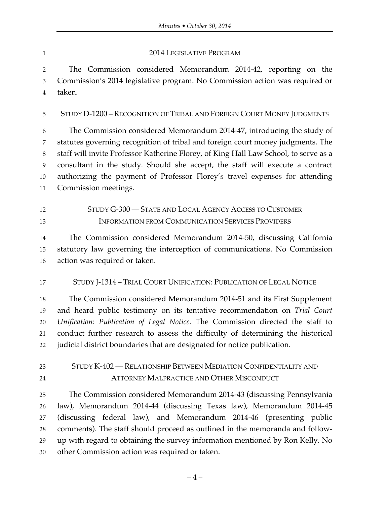#### 1 2014 LEGISLATIVE PROGRAM

 The Commission considered Memorandum 2014-42, reporting on the Commission's 2014 legislative program. No Commission action was required or taken.

STUDY D-1200 – RECOGNITION OF TRIBAL AND FOREIGN COURT MONEY JUDGMENTS

 The Commission considered Memorandum 2014-47, introducing the study of statutes governing recognition of tribal and foreign court money judgments. The staff will invite Professor Katherine Florey, of King Hall Law School, to serve as a consultant in the study. Should she accept, the staff will execute a contract authorizing the payment of Professor Florey's travel expenses for attending Commission meetings.

 STUDY G-300 — STATE AND LOCAL AGENCY ACCESS TO CUSTOMER 13 INFORMATION FROM COMMUNICATION SERVICES PROVIDERS

 The Commission considered Memorandum 2014-50, discussing California statutory law governing the interception of communications. No Commission action was required or taken.

STUDY J-1314 – TRIAL COURT UNIFICATION: PUBLICATION OF LEGAL NOTICE

 The Commission considered Memorandum 2014-51 and its First Supplement and heard public testimony on its tentative recommendation on *Trial Court Unification: Publication of Legal Notice*. The Commission directed the staff to conduct further research to assess the difficulty of determining the historical judicial district boundaries that are designated for notice publication.

 STUDY K-402 — RELATIONSHIP BETWEEN MEDIATION CONFIDENTIALITY AND ATTORNEY MALPRACTICE AND OTHER MISCONDUCT

 The Commission considered Memorandum 2014-43 (discussing Pennsylvania law), Memorandum 2014-44 (discussing Texas law), Memorandum 2014-45 (discussing federal law), and Memorandum 2014-46 (presenting public comments). The staff should proceed as outlined in the memoranda and follow- up with regard to obtaining the survey information mentioned by Ron Kelly. No other Commission action was required or taken.